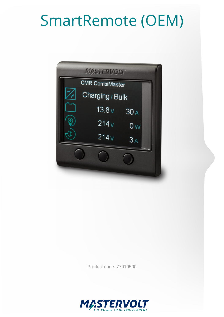# SmartRemote (OEM)

| MASTERVOLT             |                 |                |  |
|------------------------|-----------------|----------------|--|
| <b>CMR CombiMaster</b> |                 |                |  |
|                        | Charging / Bulk |                |  |
|                        | 13.8v           | 30A            |  |
|                        | 214v            | 0 <sub>W</sub> |  |
|                        | 214v            | 3A             |  |
|                        |                 |                |  |
|                        |                 |                |  |
|                        |                 |                |  |

Product code: 77010500

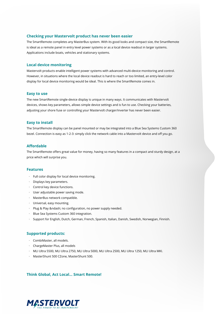#### **Checking your Mastervolt product has never been easier**

The SmartRemote completes any MasterBus system. With its good looks and compact size, the SmartRemote is ideal as a remote panel in entry level power systems or as a local device readout in larger systems. Applications include boats, vehicles and stationary systems.

#### **Local device monitoring**

Mastervolt products enable intelligent power systems with advanced multi-device monitoring and control. However, in situations where the local device readout is hard to reach or too limited, an entry-level color display for local device monitoring would be ideal. This is where the SmartRemote comes in.

#### **Easy to use**

The new SmartRemote single-device display is unique in many ways. It communicates with Mastervolt devices, shows key parameters, allows simple device settings and is fun to use. Checking your batteries, adjusting your shore fuse or controlling your Mastervolt charger/inverter has never been easier.

#### **Easy to install**

The SmartRemote display can be panel mounted or may be integrated into a Blue Sea Systems Custom 360 bezel. Connection is easy as 1-2-3: simply click the network cable into a Mastervolt device and off you go.

### **Affordable**

The SmartRemote offers great value for money, having so many features in a compact and sturdy design, at a price which will surprise you.

#### **Features**

- · Full color display for local device monitoring.
- Displays key parameters.
- · Control key device functions.
- · User adjustable power saving mode.
- · MasterBus network compatible.
- · Universal, easy mounting.
- $\cdot$  Plug & Play no configuration, no power supply needed.
- · Blue Sea Systems Custom 360 integration.
- · Support for English, Dutch, German, French, Spanish, Italian, Danish, Swedish, Norwegian, Finnish.

#### **Supported products:**

- · CombiMaster, all models.
- · ChargeMaster Plus, all models
- · MLI Ultra 5500, MLI Ultra 2750, MLI Ultra 5000, MLI Ultra 2500, MLI Ultra 1250, MLI Ultra MKI.
- · MasterShunt 500 CZone, MasterShunt 500.

#### **Think Global, Act Local... Smart Remote!**